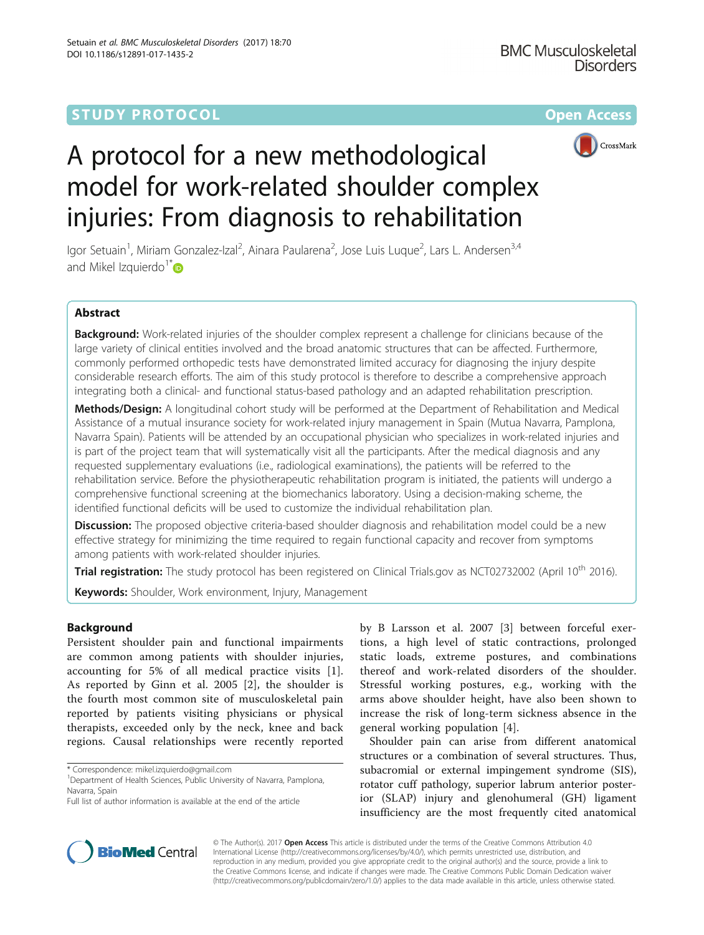# **STUDY PROTOCOL CONSUMING THE RESERVE ACCESS**



# A protocol for a new methodological model for work-related shoulder complex injuries: From diagnosis to rehabilitation

lgor Setuain<sup>1</sup>, Miriam Gonzalez-Izal<sup>2</sup>, Ainara Paularena<sup>2</sup>, Jose Luis Luque<sup>2</sup>, Lars L. Andersen<sup>3,4</sup> and Mikel Izquierdo<sup>1[\\*](http://orcid.org/0000-0002-1506-4272)</sup>

# Abstract

Background: Work-related injuries of the shoulder complex represent a challenge for clinicians because of the large variety of clinical entities involved and the broad anatomic structures that can be affected. Furthermore, commonly performed orthopedic tests have demonstrated limited accuracy for diagnosing the injury despite considerable research efforts. The aim of this study protocol is therefore to describe a comprehensive approach integrating both a clinical- and functional status-based pathology and an adapted rehabilitation prescription.

Methods/Design: A longitudinal cohort study will be performed at the Department of Rehabilitation and Medical Assistance of a mutual insurance society for work-related injury management in Spain (Mutua Navarra, Pamplona, Navarra Spain). Patients will be attended by an occupational physician who specializes in work-related injuries and is part of the project team that will systematically visit all the participants. After the medical diagnosis and any requested supplementary evaluations (i.e., radiological examinations), the patients will be referred to the rehabilitation service. Before the physiotherapeutic rehabilitation program is initiated, the patients will undergo a comprehensive functional screening at the biomechanics laboratory. Using a decision-making scheme, the identified functional deficits will be used to customize the individual rehabilitation plan.

**Discussion:** The proposed objective criteria-based shoulder diagnosis and rehabilitation model could be a new effective strategy for minimizing the time required to regain functional capacity and recover from symptoms among patients with work-related shoulder injuries.

Trial registration: The study protocol has been registered on Clinical Trials.gov as [NCT02732002](https://clinicaltrials.gov/ct2/show/NCT02732002) (April 10<sup>th</sup> 2016).

Keywords: Shoulder, Work environment, Injury, Management

# Background

Persistent shoulder pain and functional impairments are common among patients with shoulder injuries, accounting for 5% of all medical practice visits [\[1](#page-8-0)]. As reported by Ginn et al. 2005 [\[2](#page-8-0)], the shoulder is the fourth most common site of musculoskeletal pain reported by patients visiting physicians or physical therapists, exceeded only by the neck, knee and back regions. Causal relationships were recently reported by B Larsson et al. 2007 [\[3](#page-8-0)] between forceful exertions, a high level of static contractions, prolonged static loads, extreme postures, and combinations thereof and work-related disorders of the shoulder. Stressful working postures, e.g., working with the arms above shoulder height, have also been shown to increase the risk of long-term sickness absence in the general working population [[4\]](#page-8-0).

Shoulder pain can arise from different anatomical structures or a combination of several structures. Thus, subacromial or external impingement syndrome (SIS), rotator cuff pathology, superior labrum anterior posterior (SLAP) injury and glenohumeral (GH) ligament insufficiency are the most frequently cited anatomical



© The Author(s). 2017 **Open Access** This article is distributed under the terms of the Creative Commons Attribution 4.0 International License [\(http://creativecommons.org/licenses/by/4.0/](http://creativecommons.org/licenses/by/4.0/)), which permits unrestricted use, distribution, and reproduction in any medium, provided you give appropriate credit to the original author(s) and the source, provide a link to the Creative Commons license, and indicate if changes were made. The Creative Commons Public Domain Dedication waiver [\(http://creativecommons.org/publicdomain/zero/1.0/](http://creativecommons.org/publicdomain/zero/1.0/)) applies to the data made available in this article, unless otherwise stated.

<sup>\*</sup> Correspondence: [mikel.izquierdo@gmail.com](mailto:mikel.izquierdo@gmail.com) <sup>1</sup>

<sup>&</sup>lt;sup>1</sup>Department of Health Sciences, Public University of Navarra, Pamplona, Navarra, Spain

Full list of author information is available at the end of the article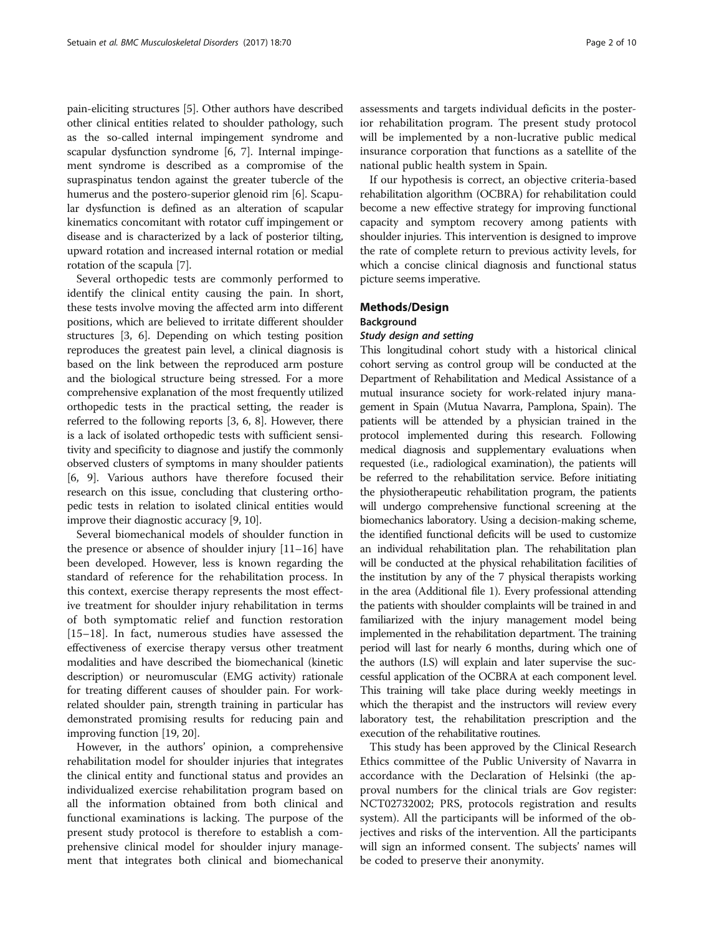pain-eliciting structures [\[5\]](#page-8-0). Other authors have described other clinical entities related to shoulder pathology, such as the so-called internal impingement syndrome and scapular dysfunction syndrome [[6](#page-8-0), [7\]](#page-8-0). Internal impingement syndrome is described as a compromise of the supraspinatus tendon against the greater tubercle of the humerus and the postero-superior glenoid rim [\[6\]](#page-8-0). Scapular dysfunction is defined as an alteration of scapular kinematics concomitant with rotator cuff impingement or disease and is characterized by a lack of posterior tilting, upward rotation and increased internal rotation or medial rotation of the scapula [\[7](#page-8-0)].

Several orthopedic tests are commonly performed to identify the clinical entity causing the pain. In short, these tests involve moving the affected arm into different positions, which are believed to irritate different shoulder structures [[3, 6\]](#page-8-0). Depending on which testing position reproduces the greatest pain level, a clinical diagnosis is based on the link between the reproduced arm posture and the biological structure being stressed. For a more comprehensive explanation of the most frequently utilized orthopedic tests in the practical setting, the reader is referred to the following reports [\[3, 6](#page-8-0), [8](#page-8-0)]. However, there is a lack of isolated orthopedic tests with sufficient sensitivity and specificity to diagnose and justify the commonly observed clusters of symptoms in many shoulder patients [[6, 9\]](#page-8-0). Various authors have therefore focused their research on this issue, concluding that clustering orthopedic tests in relation to isolated clinical entities would improve their diagnostic accuracy [\[9](#page-8-0), [10](#page-8-0)].

Several biomechanical models of shoulder function in the presence or absence of shoulder injury [[11](#page-8-0)–[16](#page-8-0)] have been developed. However, less is known regarding the standard of reference for the rehabilitation process. In this context, exercise therapy represents the most effective treatment for shoulder injury rehabilitation in terms of both symptomatic relief and function restoration [[15](#page-8-0)–[18\]](#page-8-0). In fact, numerous studies have assessed the effectiveness of exercise therapy versus other treatment modalities and have described the biomechanical (kinetic description) or neuromuscular (EMG activity) rationale for treating different causes of shoulder pain. For workrelated shoulder pain, strength training in particular has demonstrated promising results for reducing pain and improving function [[19](#page-8-0), [20\]](#page-8-0).

However, in the authors' opinion, a comprehensive rehabilitation model for shoulder injuries that integrates the clinical entity and functional status and provides an individualized exercise rehabilitation program based on all the information obtained from both clinical and functional examinations is lacking. The purpose of the present study protocol is therefore to establish a comprehensive clinical model for shoulder injury management that integrates both clinical and biomechanical

assessments and targets individual deficits in the posterior rehabilitation program. The present study protocol will be implemented by a non-lucrative public medical insurance corporation that functions as a satellite of the national public health system in Spain.

If our hypothesis is correct, an objective criteria-based rehabilitation algorithm (OCBRA) for rehabilitation could become a new effective strategy for improving functional capacity and symptom recovery among patients with shoulder injuries. This intervention is designed to improve the rate of complete return to previous activity levels, for which a concise clinical diagnosis and functional status picture seems imperative.

# Methods/Design Background

# Study design and setting

This longitudinal cohort study with a historical clinical cohort serving as control group will be conducted at the Department of Rehabilitation and Medical Assistance of a mutual insurance society for work-related injury management in Spain (Mutua Navarra, Pamplona, Spain). The patients will be attended by a physician trained in the protocol implemented during this research. Following medical diagnosis and supplementary evaluations when requested (i.e., radiological examination), the patients will be referred to the rehabilitation service. Before initiating the physiotherapeutic rehabilitation program, the patients will undergo comprehensive functional screening at the biomechanics laboratory. Using a decision-making scheme, the identified functional deficits will be used to customize an individual rehabilitation plan. The rehabilitation plan will be conducted at the physical rehabilitation facilities of the institution by any of the 7 physical therapists working in the area (Additional file [1](#page-7-0)). Every professional attending the patients with shoulder complaints will be trained in and familiarized with the injury management model being implemented in the rehabilitation department. The training period will last for nearly 6 months, during which one of the authors (I.S) will explain and later supervise the successful application of the OCBRA at each component level. This training will take place during weekly meetings in which the therapist and the instructors will review every laboratory test, the rehabilitation prescription and the execution of the rehabilitative routines.

This study has been approved by the Clinical Research Ethics committee of the Public University of Navarra in accordance with the Declaration of Helsinki (the approval numbers for the clinical trials are Gov register: NCT02732002; PRS, protocols registration and results system). All the participants will be informed of the objectives and risks of the intervention. All the participants will sign an informed consent. The subjects' names will be coded to preserve their anonymity.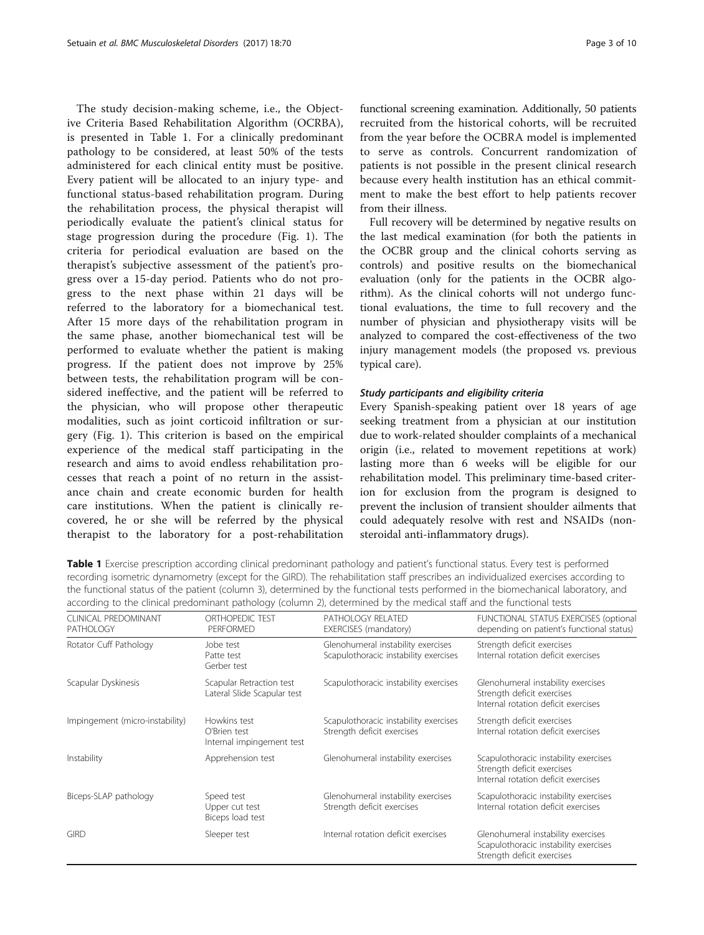<span id="page-2-0"></span>The study decision-making scheme, i.e., the Objective Criteria Based Rehabilitation Algorithm (OCRBA), is presented in Table 1. For a clinically predominant pathology to be considered, at least 50% of the tests administered for each clinical entity must be positive. Every patient will be allocated to an injury type- and functional status-based rehabilitation program. During the rehabilitation process, the physical therapist will periodically evaluate the patient's clinical status for stage progression during the procedure (Fig. [1](#page-3-0)). The criteria for periodical evaluation are based on the therapist's subjective assessment of the patient's progress over a 15-day period. Patients who do not progress to the next phase within 21 days will be referred to the laboratory for a biomechanical test. After 15 more days of the rehabilitation program in the same phase, another biomechanical test will be performed to evaluate whether the patient is making progress. If the patient does not improve by 25% between tests, the rehabilitation program will be considered ineffective, and the patient will be referred to the physician, who will propose other therapeutic modalities, such as joint corticoid infiltration or surgery (Fig. [1](#page-3-0)). This criterion is based on the empirical experience of the medical staff participating in the research and aims to avoid endless rehabilitation processes that reach a point of no return in the assistance chain and create economic burden for health care institutions. When the patient is clinically recovered, he or she will be referred by the physical therapist to the laboratory for a post-rehabilitation

functional screening examination. Additionally, 50 patients recruited from the historical cohorts, will be recruited from the year before the OCBRA model is implemented to serve as controls. Concurrent randomization of patients is not possible in the present clinical research because every health institution has an ethical commitment to make the best effort to help patients recover from their illness.

Full recovery will be determined by negative results on the last medical examination (for both the patients in the OCBR group and the clinical cohorts serving as controls) and positive results on the biomechanical evaluation (only for the patients in the OCBR algorithm). As the clinical cohorts will not undergo functional evaluations, the time to full recovery and the number of physician and physiotherapy visits will be analyzed to compared the cost-effectiveness of the two injury management models (the proposed vs. previous typical care).

# Study participants and eligibility criteria

Every Spanish-speaking patient over 18 years of age seeking treatment from a physician at our institution due to work-related shoulder complaints of a mechanical origin (i.e., related to movement repetitions at work) lasting more than 6 weeks will be eligible for our rehabilitation model. This preliminary time-based criterion for exclusion from the program is designed to prevent the inclusion of transient shoulder ailments that could adequately resolve with rest and NSAIDs (nonsteroidal anti-inflammatory drugs).

| Table 1 Exercise prescription according clinical predominant pathology and patient's functional status. Every test is performed     |
|-------------------------------------------------------------------------------------------------------------------------------------|
| recording isometric dynamometry (except for the GIRD). The rehabilitation staff prescribes an individualized exercises according to |
| the functional status of the patient (column 3), determined by the functional tests performed in the biomechanical laboratory, and  |
| according to the clinical predominant pathology (column 2), determined by the medical staff and the functional tests                |

| <b>CLINICAL PREDOMINANT</b><br><b>PATHOLOGY</b> | ORTHOPEDIC TEST<br>PERFORMED                              | PATHOLOGY RELATED<br>EXERCISES (mandatory)                                  | FUNCTIONAL STATUS EXERCISES (optional<br>depending on patient's functional status)                         |
|-------------------------------------------------|-----------------------------------------------------------|-----------------------------------------------------------------------------|------------------------------------------------------------------------------------------------------------|
| Rotator Cuff Pathology                          | Jobe test<br>Patte test<br>Gerber test                    | Glenohumeral instability exercises<br>Scapulothoracic instability exercises | Strength deficit exercises<br>Internal rotation deficit exercises                                          |
| Scapular Dyskinesis                             | Scapular Retraction test<br>Lateral Slide Scapular test   | Scapulothoracic instability exercises                                       | Glenohumeral instability exercises<br>Strength deficit exercises<br>Internal rotation deficit exercises    |
| Impingement (micro-instability)                 | Howkins test<br>O'Brien test<br>Internal impingement test | Scapulothoracic instability exercises<br>Strength deficit exercises         | Strength deficit exercises<br>Internal rotation deficit exercises                                          |
| Instability                                     | Apprehension test                                         | Glenohumeral instability exercises                                          | Scapulothoracic instability exercises<br>Strength deficit exercises<br>Internal rotation deficit exercises |
| Biceps-SLAP pathology                           | Speed test<br>Upper cut test<br>Biceps load test          | Glenohumeral instability exercises<br>Strength deficit exercises            | Scapulothoracic instability exercises<br>Internal rotation deficit exercises                               |
| <b>GIRD</b>                                     | Sleeper test                                              | Internal rotation deficit exercises                                         | Glenohumeral instability exercises<br>Scapulothoracic instability exercises<br>Strength deficit exercises  |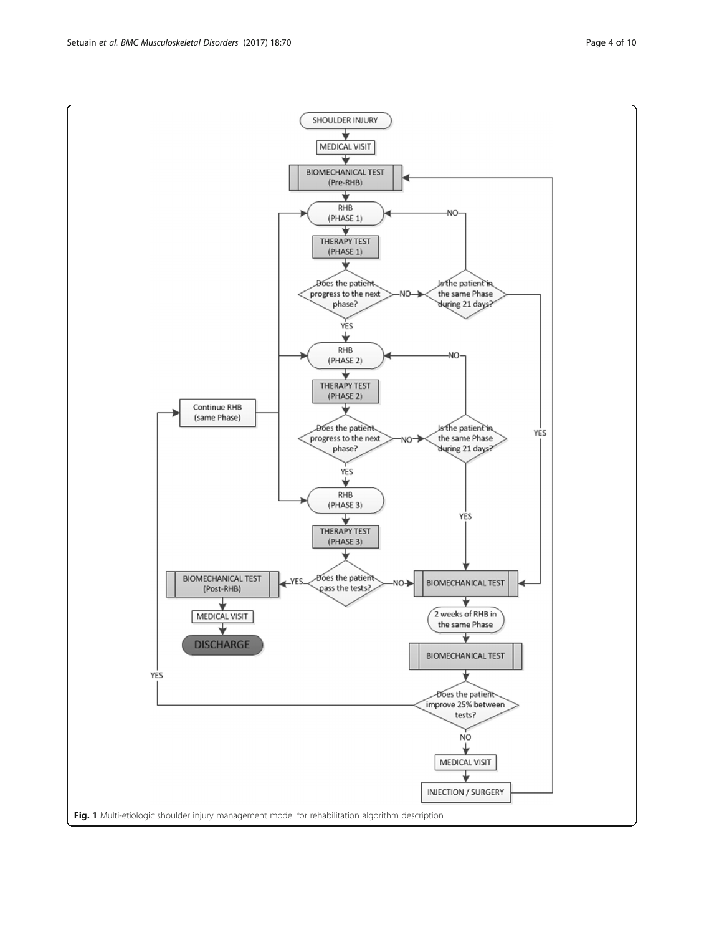<span id="page-3-0"></span>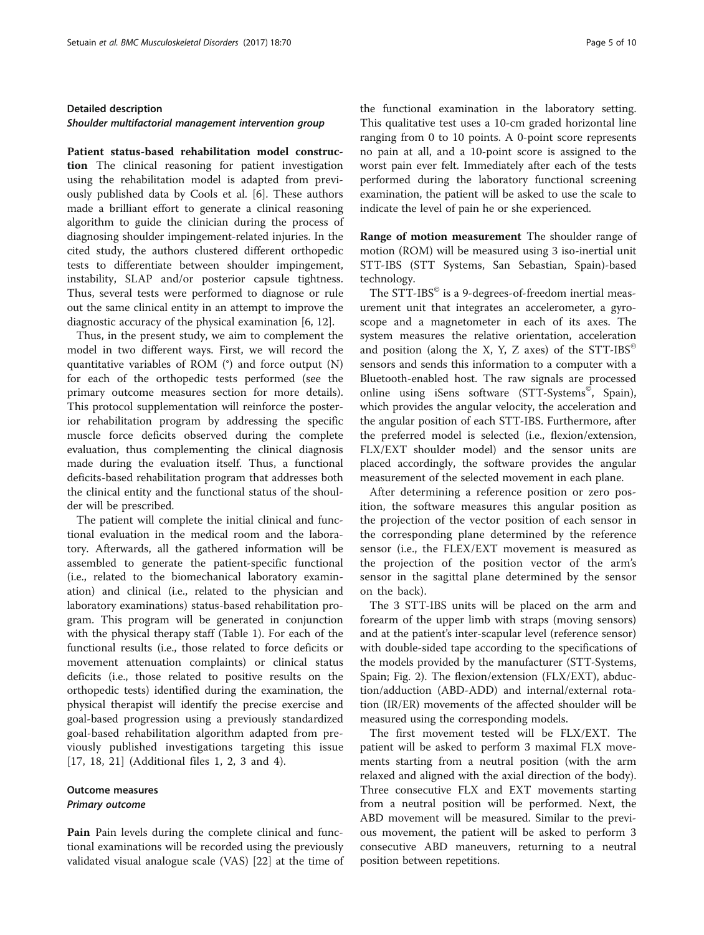# Detailed description Shoulder multifactorial management intervention group

Patient status-based rehabilitation model construction The clinical reasoning for patient investigation using the rehabilitation model is adapted from previously published data by Cools et al. [[6\]](#page-8-0). These authors made a brilliant effort to generate a clinical reasoning algorithm to guide the clinician during the process of diagnosing shoulder impingement-related injuries. In the cited study, the authors clustered different orthopedic tests to differentiate between shoulder impingement, instability, SLAP and/or posterior capsule tightness. Thus, several tests were performed to diagnose or rule out the same clinical entity in an attempt to improve the diagnostic accuracy of the physical examination [\[6, 12\]](#page-8-0).

Thus, in the present study, we aim to complement the model in two different ways. First, we will record the quantitative variables of ROM (°) and force output (N) for each of the orthopedic tests performed (see the primary outcome measures section for more details). This protocol supplementation will reinforce the posterior rehabilitation program by addressing the specific muscle force deficits observed during the complete evaluation, thus complementing the clinical diagnosis made during the evaluation itself. Thus, a functional deficits-based rehabilitation program that addresses both the clinical entity and the functional status of the shoulder will be prescribed.

The patient will complete the initial clinical and functional evaluation in the medical room and the laboratory. Afterwards, all the gathered information will be assembled to generate the patient-specific functional (i.e., related to the biomechanical laboratory examination) and clinical (i.e., related to the physician and laboratory examinations) status-based rehabilitation program. This program will be generated in conjunction with the physical therapy staff (Table [1](#page-2-0)). For each of the functional results (i.e., those related to force deficits or movement attenuation complaints) or clinical status deficits (i.e., those related to positive results on the orthopedic tests) identified during the examination, the physical therapist will identify the precise exercise and goal-based progression using a previously standardized goal-based rehabilitation algorithm adapted from previously published investigations targeting this issue [[17, 18](#page-8-0), [21](#page-8-0)] (Additional files [1](#page-7-0), [2](#page-7-0), [3](#page-7-0) and [4\)](#page-7-0).

# Outcome measures Primary outcome

Pain Pain levels during the complete clinical and functional examinations will be recorded using the previously validated visual analogue scale (VAS) [\[22\]](#page-8-0) at the time of

the functional examination in the laboratory setting. This qualitative test uses a 10-cm graded horizontal line ranging from 0 to 10 points. A 0-point score represents no pain at all, and a 10-point score is assigned to the worst pain ever felt. Immediately after each of the tests performed during the laboratory functional screening examination, the patient will be asked to use the scale to indicate the level of pain he or she experienced.

Range of motion measurement The shoulder range of motion (ROM) will be measured using 3 iso-inertial unit STT-IBS (STT Systems, San Sebastian, Spain)-based technology.

The STT-IBS<sup>®</sup> is a 9-degrees-of-freedom inertial measurement unit that integrates an accelerometer, a gyroscope and a magnetometer in each of its axes. The system measures the relative orientation, acceleration and position (along the X, Y, Z axes) of the  $STT$ -IBS<sup>®</sup> sensors and sends this information to a computer with a Bluetooth-enabled host. The raw signals are processed online using iSens software (STT-Systems<sup>®</sup>, Spain), which provides the angular velocity, the acceleration and the angular position of each STT-IBS. Furthermore, after the preferred model is selected (i.e., flexion/extension, FLX/EXT shoulder model) and the sensor units are placed accordingly, the software provides the angular measurement of the selected movement in each plane.

After determining a reference position or zero position, the software measures this angular position as the projection of the vector position of each sensor in the corresponding plane determined by the reference sensor (i.e., the FLEX/EXT movement is measured as the projection of the position vector of the arm's sensor in the sagittal plane determined by the sensor on the back).

The 3 STT-IBS units will be placed on the arm and forearm of the upper limb with straps (moving sensors) and at the patient's inter-scapular level (reference sensor) with double-sided tape according to the specifications of the models provided by the manufacturer (STT-Systems, Spain; Fig. [2](#page-5-0)). The flexion/extension (FLX/EXT), abduction/adduction (ABD-ADD) and internal/external rotation (IR/ER) movements of the affected shoulder will be measured using the corresponding models.

The first movement tested will be FLX/EXT. The patient will be asked to perform 3 maximal FLX movements starting from a neutral position (with the arm relaxed and aligned with the axial direction of the body). Three consecutive FLX and EXT movements starting from a neutral position will be performed. Next, the ABD movement will be measured. Similar to the previous movement, the patient will be asked to perform 3 consecutive ABD maneuvers, returning to a neutral position between repetitions.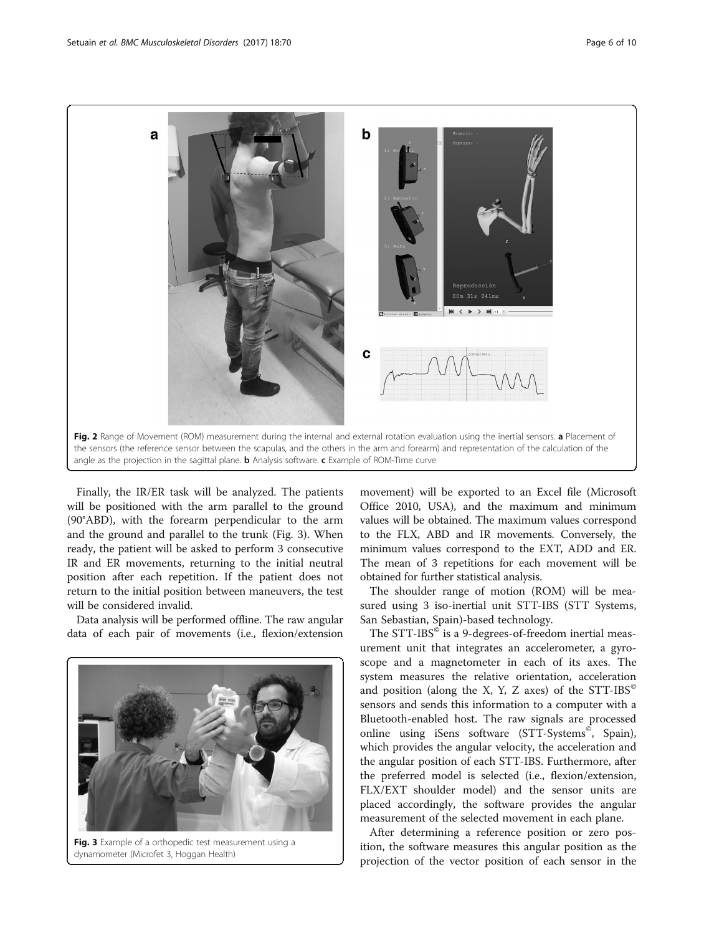<span id="page-5-0"></span>

Finally, the IR/ER task will be analyzed. The patients will be positioned with the arm parallel to the ground (90°ABD), with the forearm perpendicular to the arm and the ground and parallel to the trunk (Fig. 3). When ready, the patient will be asked to perform 3 consecutive IR and ER movements, returning to the initial neutral position after each repetition. If the patient does not return to the initial position between maneuvers, the test will be considered invalid.

Data analysis will be performed offline. The raw angular data of each pair of movements (i.e., flexion/extension



Fig. 3 Example of a orthopedic test measurement using a dynamometer (Microfet 3, Hoggan Health)

movement) will be exported to an Excel file (Microsoft Office 2010, USA), and the maximum and minimum values will be obtained. The maximum values correspond to the FLX, ABD and IR movements. Conversely, the minimum values correspond to the EXT, ADD and ER. The mean of 3 repetitions for each movement will be obtained for further statistical analysis.

The shoulder range of motion (ROM) will be measured using 3 iso-inertial unit STT-IBS (STT Systems, San Sebastian, Spain)-based technology.

The STT-IBS<sup>®</sup> is a 9-degrees-of-freedom inertial measurement unit that integrates an accelerometer, a gyroscope and a magnetometer in each of its axes. The system measures the relative orientation, acceleration and position (along the X, Y, Z axes) of the  $STT$ -IBS<sup>®</sup> sensors and sends this information to a computer with a Bluetooth-enabled host. The raw signals are processed online using iSens software (STT-Systems<sup>®</sup>, Spain), which provides the angular velocity, the acceleration and the angular position of each STT-IBS. Furthermore, after the preferred model is selected (i.e., flexion/extension, FLX/EXT shoulder model) and the sensor units are placed accordingly, the software provides the angular measurement of the selected movement in each plane.

After determining a reference position or zero position, the software measures this angular position as the projection of the vector position of each sensor in the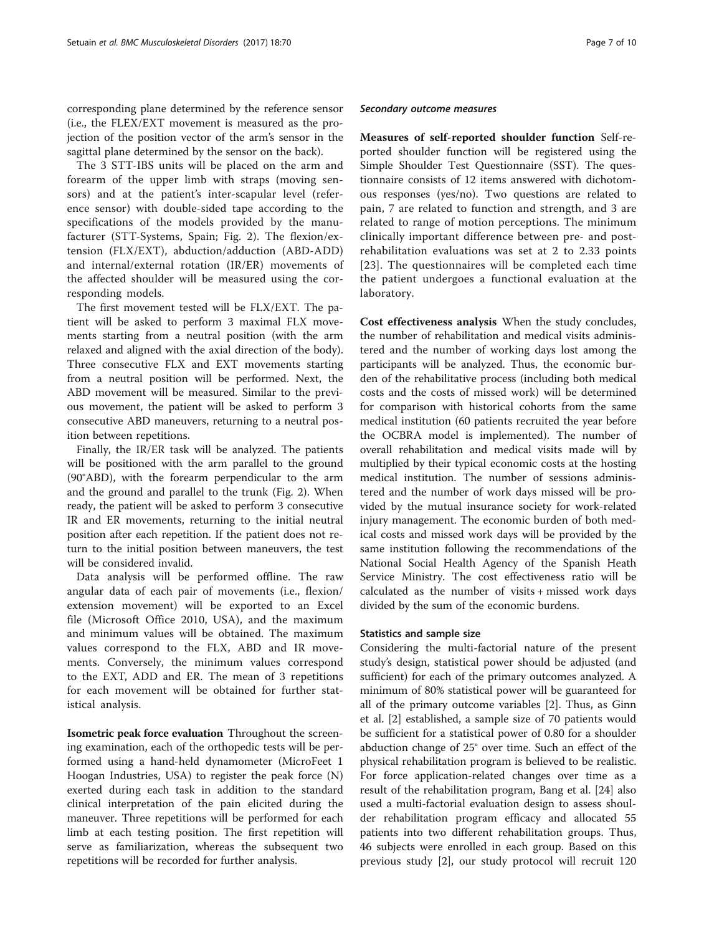corresponding plane determined by the reference sensor (i.e., the FLEX/EXT movement is measured as the projection of the position vector of the arm's sensor in the sagittal plane determined by the sensor on the back).

The 3 STT-IBS units will be placed on the arm and forearm of the upper limb with straps (moving sensors) and at the patient's inter-scapular level (reference sensor) with double-sided tape according to the specifications of the models provided by the manufacturer (STT-Systems, Spain; Fig. [2](#page-5-0)). The flexion/extension (FLX/EXT), abduction/adduction (ABD-ADD) and internal/external rotation (IR/ER) movements of the affected shoulder will be measured using the corresponding models.

The first movement tested will be FLX/EXT. The patient will be asked to perform 3 maximal FLX movements starting from a neutral position (with the arm relaxed and aligned with the axial direction of the body). Three consecutive FLX and EXT movements starting from a neutral position will be performed. Next, the ABD movement will be measured. Similar to the previous movement, the patient will be asked to perform 3 consecutive ABD maneuvers, returning to a neutral position between repetitions.

Finally, the IR/ER task will be analyzed. The patients will be positioned with the arm parallel to the ground (90°ABD), with the forearm perpendicular to the arm and the ground and parallel to the trunk (Fig. [2\)](#page-5-0). When ready, the patient will be asked to perform 3 consecutive IR and ER movements, returning to the initial neutral position after each repetition. If the patient does not return to the initial position between maneuvers, the test will be considered invalid.

Data analysis will be performed offline. The raw angular data of each pair of movements (i.e., flexion/ extension movement) will be exported to an Excel file (Microsoft Office 2010, USA), and the maximum and minimum values will be obtained. The maximum values correspond to the FLX, ABD and IR movements. Conversely, the minimum values correspond to the EXT, ADD and ER. The mean of 3 repetitions for each movement will be obtained for further statistical analysis.

Isometric peak force evaluation Throughout the screening examination, each of the orthopedic tests will be performed using a hand-held dynamometer (MicroFeet 1 Hoogan Industries, USA) to register the peak force (N) exerted during each task in addition to the standard clinical interpretation of the pain elicited during the maneuver. Three repetitions will be performed for each limb at each testing position. The first repetition will serve as familiarization, whereas the subsequent two repetitions will be recorded for further analysis.

#### Secondary outcome measures

Measures of self-reported shoulder function Self-reported shoulder function will be registered using the Simple Shoulder Test Questionnaire (SST). The questionnaire consists of 12 items answered with dichotomous responses (yes/no). Two questions are related to pain, 7 are related to function and strength, and 3 are related to range of motion perceptions. The minimum clinically important difference between pre- and postrehabilitation evaluations was set at 2 to 2.33 points [[23](#page-8-0)]. The questionnaires will be completed each time the patient undergoes a functional evaluation at the laboratory.

Cost effectiveness analysis When the study concludes, the number of rehabilitation and medical visits administered and the number of working days lost among the participants will be analyzed. Thus, the economic burden of the rehabilitative process (including both medical costs and the costs of missed work) will be determined for comparison with historical cohorts from the same medical institution (60 patients recruited the year before the OCBRA model is implemented). The number of overall rehabilitation and medical visits made will by multiplied by their typical economic costs at the hosting medical institution. The number of sessions administered and the number of work days missed will be provided by the mutual insurance society for work-related injury management. The economic burden of both medical costs and missed work days will be provided by the same institution following the recommendations of the National Social Health Agency of the Spanish Heath Service Ministry. The cost effectiveness ratio will be calculated as the number of visits + missed work days divided by the sum of the economic burdens.

#### Statistics and sample size

Considering the multi-factorial nature of the present study's design, statistical power should be adjusted (and sufficient) for each of the primary outcomes analyzed. A minimum of 80% statistical power will be guaranteed for all of the primary outcome variables [[2\]](#page-8-0). Thus, as Ginn et al. [[2\]](#page-8-0) established, a sample size of 70 patients would be sufficient for a statistical power of 0.80 for a shoulder abduction change of 25° over time. Such an effect of the physical rehabilitation program is believed to be realistic. For force application-related changes over time as a result of the rehabilitation program, Bang et al. [\[24](#page-8-0)] also used a multi-factorial evaluation design to assess shoulder rehabilitation program efficacy and allocated 55 patients into two different rehabilitation groups. Thus, 46 subjects were enrolled in each group. Based on this previous study [[2\]](#page-8-0), our study protocol will recruit 120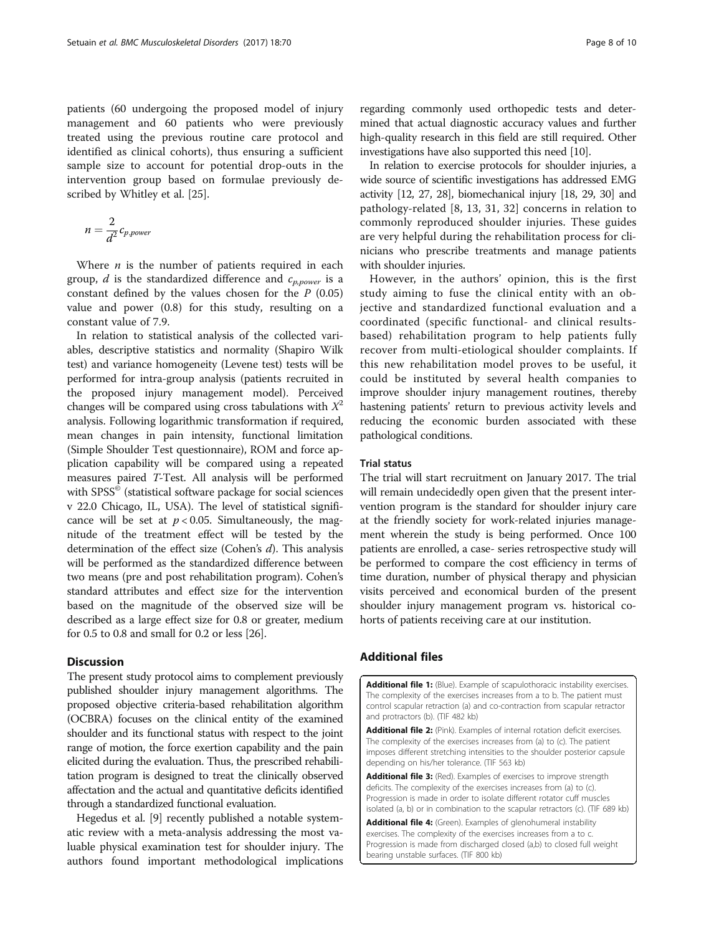<span id="page-7-0"></span>patients (60 undergoing the proposed model of injury management and 60 patients who were previously treated using the previous routine care protocol and identified as clinical cohorts), thus ensuring a sufficient sample size to account for potential drop-outs in the intervention group based on formulae previously described by Whitley et al. [\[25\]](#page-8-0).

$$
n=\frac{2}{d^2}c_{p,power}
$$

Where  $n$  is the number of patients required in each group, *d* is the standardized difference and  $c_{n,power}$  is a constant defined by the values chosen for the  $P(0.05)$ value and power (0.8) for this study, resulting on a constant value of 7.9.

In relation to statistical analysis of the collected variables, descriptive statistics and normality (Shapiro Wilk test) and variance homogeneity (Levene test) tests will be performed for intra-group analysis (patients recruited in the proposed injury management model). Perceived changes will be compared using cross tabulations with  $X^2$ analysis. Following logarithmic transformation if required, mean changes in pain intensity, functional limitation (Simple Shoulder Test questionnaire), ROM and force application capability will be compared using a repeated measures paired T-Test. All analysis will be performed with SPSS<sup>©</sup> (statistical software package for social sciences v 22.0 Chicago, IL, USA). The level of statistical significance will be set at  $p < 0.05$ . Simultaneously, the magnitude of the treatment effect will be tested by the determination of the effect size (Cohen's d). This analysis will be performed as the standardized difference between two means (pre and post rehabilitation program). Cohen's standard attributes and effect size for the intervention based on the magnitude of the observed size will be described as a large effect size for 0.8 or greater, medium for 0.5 to 0.8 and small for 0.2 or less [[26](#page-8-0)].

# **Discussion**

The present study protocol aims to complement previously published shoulder injury management algorithms. The proposed objective criteria-based rehabilitation algorithm (OCBRA) focuses on the clinical entity of the examined shoulder and its functional status with respect to the joint range of motion, the force exertion capability and the pain elicited during the evaluation. Thus, the prescribed rehabilitation program is designed to treat the clinically observed affectation and the actual and quantitative deficits identified through a standardized functional evaluation.

Hegedus et al. [[9](#page-8-0)] recently published a notable systematic review with a meta-analysis addressing the most valuable physical examination test for shoulder injury. The authors found important methodological implications regarding commonly used orthopedic tests and determined that actual diagnostic accuracy values and further high-quality research in this field are still required. Other investigations have also supported this need [\[10](#page-8-0)].

In relation to exercise protocols for shoulder injuries, a wide source of scientific investigations has addressed EMG activity [\[12, 27, 28\]](#page-8-0), biomechanical injury [\[18, 29,](#page-8-0) [30](#page-9-0)] and pathology-related [\[8](#page-8-0), [13,](#page-8-0) [31](#page-9-0), [32](#page-9-0)] concerns in relation to commonly reproduced shoulder injuries. These guides are very helpful during the rehabilitation process for clinicians who prescribe treatments and manage patients with shoulder injuries.

However, in the authors' opinion, this is the first study aiming to fuse the clinical entity with an objective and standardized functional evaluation and a coordinated (specific functional- and clinical resultsbased) rehabilitation program to help patients fully recover from multi-etiological shoulder complaints. If this new rehabilitation model proves to be useful, it could be instituted by several health companies to improve shoulder injury management routines, thereby hastening patients' return to previous activity levels and reducing the economic burden associated with these pathological conditions.

#### Trial status

The trial will start recruitment on January 2017. The trial will remain undecidedly open given that the present intervention program is the standard for shoulder injury care at the friendly society for work-related injuries management wherein the study is being performed. Once 100 patients are enrolled, a case- series retrospective study will be performed to compare the cost efficiency in terms of time duration, number of physical therapy and physician visits perceived and economical burden of the present shoulder injury management program vs. historical cohorts of patients receiving care at our institution.

### Additional files

[Additional file 1:](dx.doi.org/10.1186/s12891-017-1435-2) (Blue). Example of scapulothoracic instability exercises. The complexity of the exercises increases from a to b. The patient must control scapular retraction (a) and co-contraction from scapular retractor and protractors (b). (TIF 482 kb)

[Additional file 2:](dx.doi.org/10.1186/s12891-017-1435-2) (Pink). Examples of internal rotation deficit exercises. The complexity of the exercises increases from (a) to (c). The patient imposes different stretching intensities to the shoulder posterior capsule depending on his/her tolerance. (TIF 563 kb)

[Additional file 3:](dx.doi.org/10.1186/s12891-017-1435-2) (Red). Examples of exercises to improve strength deficits. The complexity of the exercises increases from (a) to (c). Progression is made in order to isolate different rotator cuff muscles isolated (a, b) or in combination to the scapular retractors (c). (TIF 689 kb)

[Additional file 4:](dx.doi.org/10.1186/s12891-017-1435-2) (Green). Examples of glenohumeral instability exercises. The complexity of the exercises increases from a to c. Progression is made from discharged closed (a,b) to closed full weight bearing unstable surfaces. (TIF 800 kb)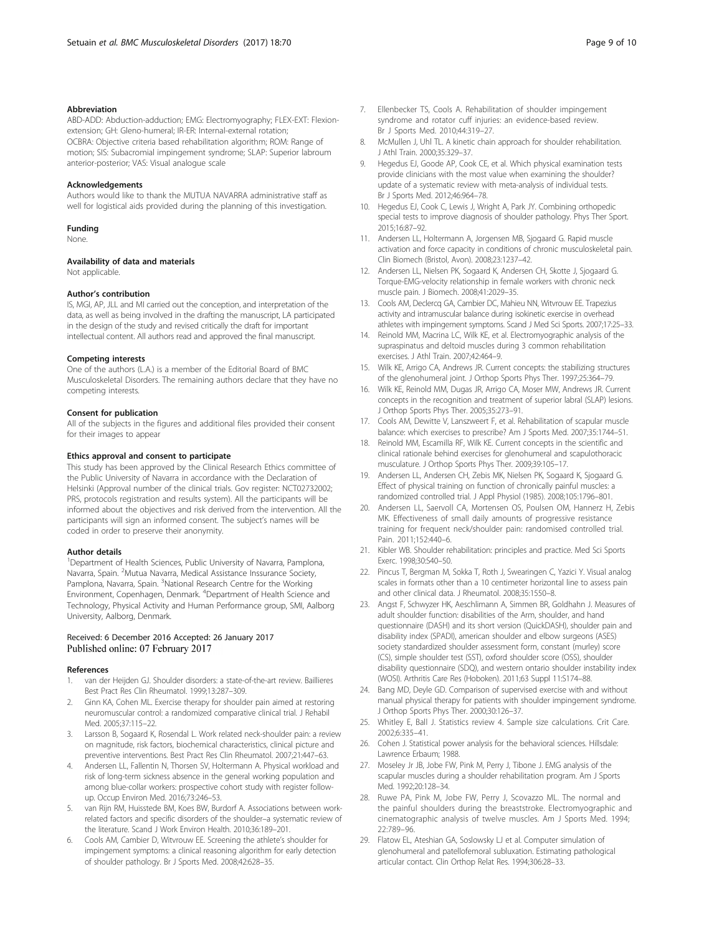#### <span id="page-8-0"></span>Abbreviation

ABD-ADD: Abduction-adduction; EMG: Electromyography; FLEX-EXT: Flexionextension; GH: Gleno-humeral; IR-ER: Internal-external rotation; OCBRA: Objective criteria based rehabilitation algorithm; ROM: Range of motion; SIS: Subacromial impingement syndrome; SLAP: Superior labroum anterior-posterior; VAS: Visual analogue scale

#### Acknowledgements

Authors would like to thank the MUTUA NAVARRA administrative staff as well for logistical aids provided during the planning of this investigation.

#### Funding

None.

#### Availability of data and materials

Not applicable.

#### Author's contribution

IS, MGI, AP, JLL and MI carried out the conception, and interpretation of the data, as well as being involved in the drafting the manuscript, LA participated in the design of the study and revised critically the draft for important intellectual content. All authors read and approved the final manuscript.

#### Competing interests

One of the authors (L.A.) is a member of the Editorial Board of BMC Musculoskeletal Disorders. The remaining authors declare that they have no competing interests.

#### Consent for publication

All of the subjects in the figures and additional files provided their consent for their images to appear

#### Ethics approval and consent to participate

This study has been approved by the Clinical Research Ethics committee of the Public University of Navarra in accordance with the Declaration of Helsinki (Approval number of the clinical trials. Gov register: NCT02732002; PRS, protocols registration and results system). All the participants will be informed about the objectives and risk derived from the intervention. All the participants will sign an informed consent. The subject's names will be coded in order to preserve their anonymity.

#### Author details

<sup>1</sup>Department of Health Sciences, Public University of Navarra, Pamplona, Navarra, Spain. <sup>2</sup>Mutua Navarra, Medical Assistance Inssurance Society, Pamplona, Navarra, Spain. <sup>3</sup>National Research Centre for the Working Environment, Copenhagen, Denmark. <sup>4</sup>Department of Health Science and Technology, Physical Activity and Human Performance group, SMI, Aalborg University, Aalborg, Denmark.

#### Received: 6 December 2016 Accepted: 26 January 2017 Published online: 07 February 2017

#### References

- 1. van der Heijden GJ. Shoulder disorders: a state-of-the-art review. Baillieres Best Pract Res Clin Rheumatol. 1999;13:287–309.
- Ginn KA, Cohen ML. Exercise therapy for shoulder pain aimed at restoring neuromuscular control: a randomized comparative clinical trial. J Rehabil Med. 2005;37:115–22.
- Larsson B, Sogaard K, Rosendal L. Work related neck-shoulder pain: a review on magnitude, risk factors, biochemical characteristics, clinical picture and preventive interventions. Best Pract Res Clin Rheumatol. 2007;21:447–63.
- 4. Andersen LL, Fallentin N, Thorsen SV, Holtermann A. Physical workload and risk of long-term sickness absence in the general working population and among blue-collar workers: prospective cohort study with register followup. Occup Environ Med. 2016;73:246–53.
- van Rijn RM, Huisstede BM, Koes BW, Burdorf A. Associations between workrelated factors and specific disorders of the shoulder–a systematic review of the literature. Scand J Work Environ Health. 2010;36:189–201.
- 6. Cools AM, Cambier D, Witvrouw EE. Screening the athlete's shoulder for impingement symptoms: a clinical reasoning algorithm for early detection of shoulder pathology. Br J Sports Med. 2008;42:628–35.
- 8. McMullen J, Uhl TL. A kinetic chain approach for shoulder rehabilitation. J Athl Train. 2000;35:329–37.
- 9. Hegedus EJ, Goode AP, Cook CE, et al. Which physical examination tests provide clinicians with the most value when examining the shoulder? update of a systematic review with meta-analysis of individual tests. Br J Sports Med. 2012;46:964–78.
- 10. Hegedus EJ, Cook C, Lewis J, Wright A, Park JY. Combining orthopedic special tests to improve diagnosis of shoulder pathology. Phys Ther Sport. 2015;16:87–92.
- 11. Andersen LL, Holtermann A, Jorgensen MB, Sjogaard G. Rapid muscle activation and force capacity in conditions of chronic musculoskeletal pain. Clin Biomech (Bristol, Avon). 2008;23:1237–42.
- 12. Andersen LL, Nielsen PK, Sogaard K, Andersen CH, Skotte J, Sjogaard G. Torque-EMG-velocity relationship in female workers with chronic neck muscle pain. J Biomech. 2008;41:2029–35.
- 13. Cools AM, Declercq GA, Cambier DC, Mahieu NN, Witvrouw EE. Trapezius activity and intramuscular balance during isokinetic exercise in overhead athletes with impingement symptoms. Scand J Med Sci Sports. 2007;17:25–33.
- 14. Reinold MM, Macrina LC, Wilk KE, et al. Electromyographic analysis of the supraspinatus and deltoid muscles during 3 common rehabilitation exercises. J Athl Train. 2007;42:464–9.
- 15. Wilk KE, Arrigo CA, Andrews JR. Current concepts: the stabilizing structures of the glenohumeral joint. J Orthop Sports Phys Ther. 1997;25:364–79.
- 16. Wilk KE, Reinold MM, Dugas JR, Arrigo CA, Moser MW, Andrews JR. Current concepts in the recognition and treatment of superior labral (SLAP) lesions. J Orthop Sports Phys Ther. 2005;35:273–91.
- 17. Cools AM, Dewitte V, Lanszweert F, et al. Rehabilitation of scapular muscle balance: which exercises to prescribe? Am J Sports Med. 2007;35:1744–51.
- 18. Reinold MM, Escamilla RF, Wilk KE. Current concepts in the scientific and clinical rationale behind exercises for glenohumeral and scapulothoracic musculature. J Orthop Sports Phys Ther. 2009;39:105–17.
- 19. Andersen LL, Andersen CH, Zebis MK, Nielsen PK, Sogaard K, Sjogaard G. Effect of physical training on function of chronically painful muscles: a randomized controlled trial. J Appl Physiol (1985). 2008;105:1796–801.
- 20. Andersen LL, Saervoll CA, Mortensen OS, Poulsen OM, Hannerz H, Zebis MK. Effectiveness of small daily amounts of progressive resistance training for frequent neck/shoulder pain: randomised controlled trial. Pain. 2011;152:440–6.
- 21. Kibler WB. Shoulder rehabilitation: principles and practice. Med Sci Sports Exerc. 1998;30:S40–50.
- 22. Pincus T, Bergman M, Sokka T, Roth J, Swearingen C, Yazici Y. Visual analog scales in formats other than a 10 centimeter horizontal line to assess pain and other clinical data. J Rheumatol. 2008;35:1550–8.
- 23. Angst F, Schwyzer HK, Aeschlimann A, Simmen BR, Goldhahn J. Measures of adult shoulder function: disabilities of the Arm, shoulder, and hand questionnaire (DASH) and its short version (QuickDASH), shoulder pain and disability index (SPADI), american shoulder and elbow surgeons (ASES) society standardized shoulder assessment form, constant (murley) score (CS), simple shoulder test (SST), oxford shoulder score (OSS), shoulder disability questionnaire (SDQ), and western ontario shoulder instability index (WOSI). Arthritis Care Res (Hoboken). 2011;63 Suppl 11:S174–88.
- 24. Bang MD, Deyle GD. Comparison of supervised exercise with and without manual physical therapy for patients with shoulder impingement syndrome. J Orthop Sports Phys Ther. 2000;30:126–37.
- 25. Whitley E, Ball J. Statistics review 4. Sample size calculations. Crit Care. 2002;6:335–41.
- 26. Cohen J. Statistical power analysis for the behavioral sciences. Hillsdale: Lawrence Erbaum; 1988.
- 27. Moseley Jr JB, Jobe FW, Pink M, Perry J, Tibone J. EMG analysis of the scapular muscles during a shoulder rehabilitation program. Am J Sports Med. 1992;20:128–34.
- 28. Ruwe PA, Pink M, Jobe FW, Perry J, Scovazzo ML. The normal and the painful shoulders during the breaststroke. Electromyographic and cinematographic analysis of twelve muscles. Am J Sports Med. 1994; 22:789–96.
- 29. Flatow EL, Ateshian GA, Soslowsky LJ et al. Computer simulation of glenohumeral and patellofemoral subluxation. Estimating pathological articular contact. Clin Orthop Relat Res. 1994;306:28–33.